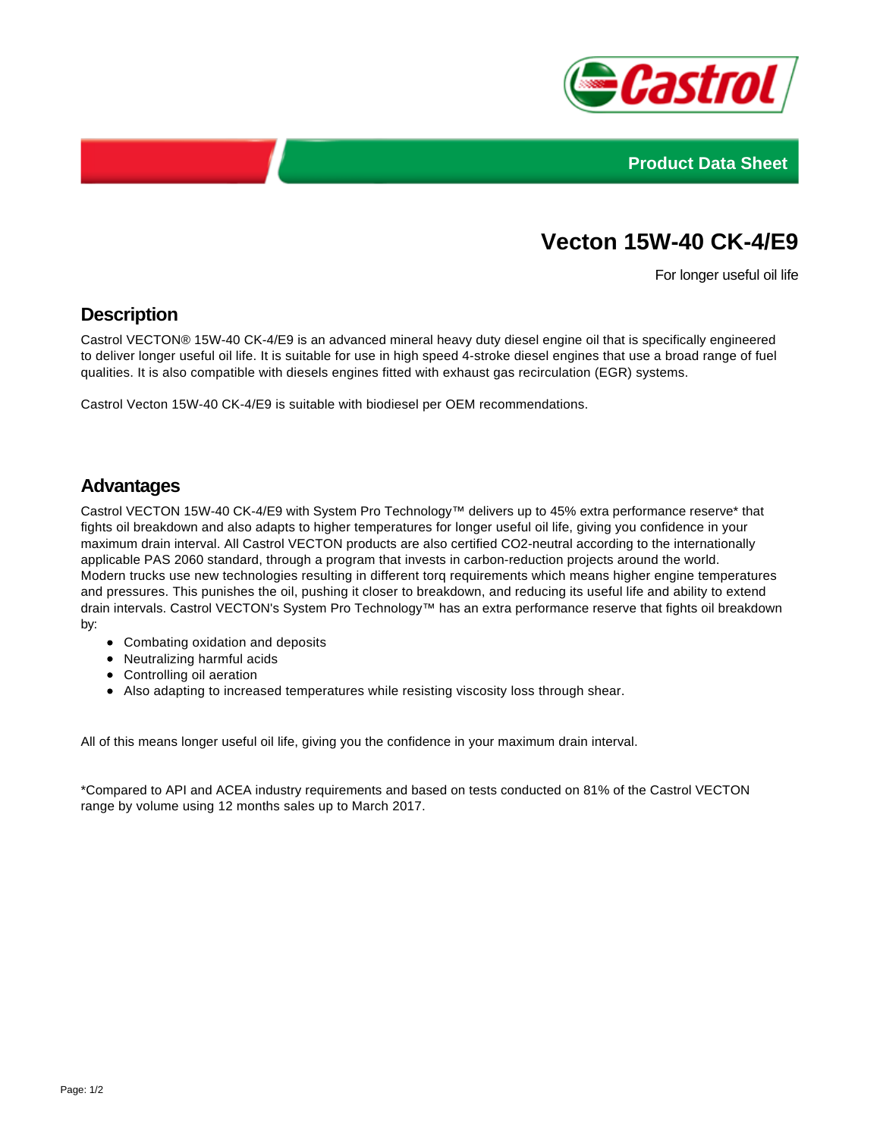



# **Vecton 15W-40 CK-4/E9**

For longer useful oil life

# **Description**

Castrol VECTON® 15W-40 CK-4/E9 is an advanced mineral heavy duty diesel engine oil that is specifically engineered to deliver longer useful oil life. It is suitable for use in high speed 4-stroke diesel engines that use a broad range of fuel qualities. It is also compatible with diesels engines fitted with exhaust gas recirculation (EGR) systems.

Castrol Vecton 15W-40 CK-4/E9 is suitable with biodiesel per OEM recommendations.

#### **Advantages**

Castrol VECTON 15W-40 CK-4/E9 with System Pro Technology™ delivers up to 45% extra performance reserve\* that fights oil breakdown and also adapts to higher temperatures for longer useful oil life, giving you confidence in your maximum drain interval. All Castrol VECTON products are also certified CO2-neutral according to the internationally applicable PAS 2060 standard, through a program that invests in carbon-reduction projects around the world. Modern trucks use new technologies resulting in different torq requirements which means higher engine temperatures and pressures. This punishes the oil, pushing it closer to breakdown, and reducing its useful life and ability to extend drain intervals. Castrol VECTON's System Pro Technology™ has an extra performance reserve that fights oil breakdown by:

- Combating oxidation and deposits
- Neutralizing harmful acids
- Controlling oil aeration
- Also adapting to increased temperatures while resisting viscosity loss through shear.

All of this means longer useful oil life, giving you the confidence in your maximum drain interval.

\*Compared to API and ACEA industry requirements and based on tests conducted on 81% of the Castrol VECTON range by volume using 12 months sales up to March 2017.